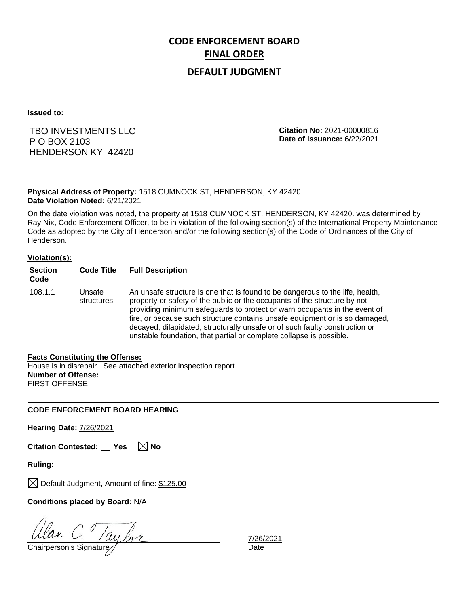# **CODE ENFORCEMENT BOARD FINAL ORDER**

## **DEFAULT JUDGMENT**

**Issued to:**

## TBO INVESTMENTS LLC P O BOX 2103 HENDERSON KY 42420

**Citation No:** 2021-00000816 **Date of Issuance:** 6/22/2021

### **Physical Address of Property:** 1518 CUMNOCK ST, HENDERSON, KY 42420 **Date Violation Noted:** 6/21/2021

On the date violation was noted, the property at 1518 CUMNOCK ST, HENDERSON, KY 42420. was determined by Ray Nix, Code Enforcement Officer, to be in violation of the following section(s) of the International Property Maintenance Code as adopted by the City of Henderson and/or the following section(s) of the Code of Ordinances of the City of Henderson.

#### **Violation(s):**

| <b>Section</b><br>Code | <b>Code Title</b>    | <b>Full Description</b>                                                                                                                                                                                                                                                                                                                                                                                                                                                      |
|------------------------|----------------------|------------------------------------------------------------------------------------------------------------------------------------------------------------------------------------------------------------------------------------------------------------------------------------------------------------------------------------------------------------------------------------------------------------------------------------------------------------------------------|
| 108.1.1                | Unsafe<br>structures | An unsafe structure is one that is found to be dangerous to the life, health,<br>property or safety of the public or the occupants of the structure by not<br>providing minimum safeguards to protect or warn occupants in the event of<br>fire, or because such structure contains unsafe equipment or is so damaged,<br>decayed, dilapidated, structurally unsafe or of such faulty construction or<br>unstable foundation, that partial or complete collapse is possible. |

#### **Facts Constituting the Offense:**

House is in disrepair. See attached exterior inspection report. **Number of Offense:** FIRST OFFENSE

### **CODE ENFORCEMENT BOARD HEARING**

**Hearing Date:** 7/26/2021

**Citation Contested:** □ Yes  $\ \ \boxed{\times}$  No

**Ruling:**

 $\boxtimes$  Default Judgment, Amount of fine: \$125.00

**Conditions placed by Board:** N/A

Ulan C. Jaylor

7/26/2021<br>Date